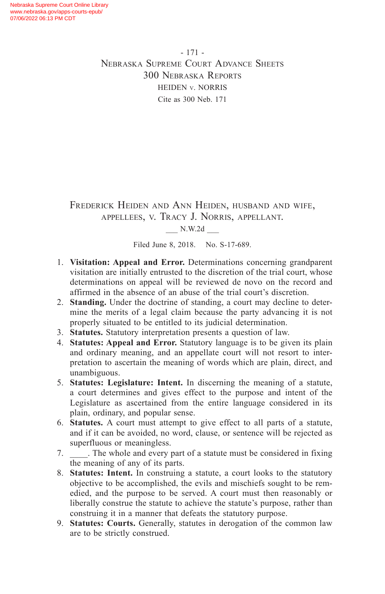- 171 - Nebraska Supreme Court Advance Sheets 300 Nebraska Reports HEIDEN v. NORRIS Cite as 300 Neb. 171

FREDERICK HEIDEN AND ANN HEIDEN, HUSBAND AND WIFE, appellees, v. Tracy J. Norris, appellant.

#### \_\_\_ N.W.2d \_\_\_

Filed June 8, 2018. No. S-17-689.

- 1. **Visitation: Appeal and Error.** Determinations concerning grandparent visitation are initially entrusted to the discretion of the trial court, whose determinations on appeal will be reviewed de novo on the record and affirmed in the absence of an abuse of the trial court's discretion.
- 2. **Standing.** Under the doctrine of standing, a court may decline to determine the merits of a legal claim because the party advancing it is not properly situated to be entitled to its judicial determination.
- 3. **Statutes.** Statutory interpretation presents a question of law.
- 4. **Statutes: Appeal and Error.** Statutory language is to be given its plain and ordinary meaning, and an appellate court will not resort to interpretation to ascertain the meaning of words which are plain, direct, and unambiguous.
- 5. **Statutes: Legislature: Intent.** In discerning the meaning of a statute, a court determines and gives effect to the purpose and intent of the Legislature as ascertained from the entire language considered in its plain, ordinary, and popular sense.
- 6. **Statutes.** A court must attempt to give effect to all parts of a statute, and if it can be avoided, no word, clause, or sentence will be rejected as superfluous or meaningless.
- 7. \_\_\_\_. The whole and every part of a statute must be considered in fixing the meaning of any of its parts.
- 8. **Statutes: Intent.** In construing a statute, a court looks to the statutory objective to be accomplished, the evils and mischiefs sought to be remedied, and the purpose to be served. A court must then reasonably or liberally construe the statute to achieve the statute's purpose, rather than construing it in a manner that defeats the statutory purpose.
- 9. **Statutes: Courts.** Generally, statutes in derogation of the common law are to be strictly construed.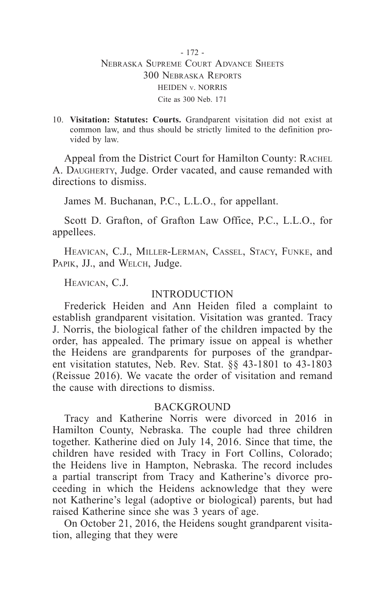- 172 - Nebraska Supreme Court Advance Sheets 300 Nebraska Reports HEIDEN v. NORRIS Cite as 300 Neb. 171

10. **Visitation: Statutes: Courts.** Grandparent visitation did not exist at common law, and thus should be strictly limited to the definition provided by law.

Appeal from the District Court for Hamilton County: RACHEL A. DAUGHERTY, Judge. Order vacated, and cause remanded with directions to dismiss.

James M. Buchanan, P.C., L.L.O., for appellant.

Scott D. Grafton, of Grafton Law Office, P.C., L.L.O., for appellees.

Heavican, C.J., Miller-Lerman, Cassel, Stacy, Funke, and PAPIK, JJ., and WELCH, Judge.

Heavican, C.J.

#### INTRODUCTION

Frederick Heiden and Ann Heiden filed a complaint to establish grandparent visitation. Visitation was granted. Tracy J. Norris, the biological father of the children impacted by the order, has appealed. The primary issue on appeal is whether the Heidens are grandparents for purposes of the grandparent visitation statutes, Neb. Rev. Stat. §§ 43-1801 to 43-1803 (Reissue 2016). We vacate the order of visitation and remand the cause with directions to dismiss.

#### BACKGROUND

Tracy and Katherine Norris were divorced in 2016 in Hamilton County, Nebraska. The couple had three children together. Katherine died on July 14, 2016. Since that time, the children have resided with Tracy in Fort Collins, Colorado; the Heidens live in Hampton, Nebraska. The record includes a partial transcript from Tracy and Katherine's divorce proceeding in which the Heidens acknowledge that they were not Katherine's legal (adoptive or biological) parents, but had raised Katherine since she was 3 years of age.

On October 21, 2016, the Heidens sought grandparent visitation, alleging that they were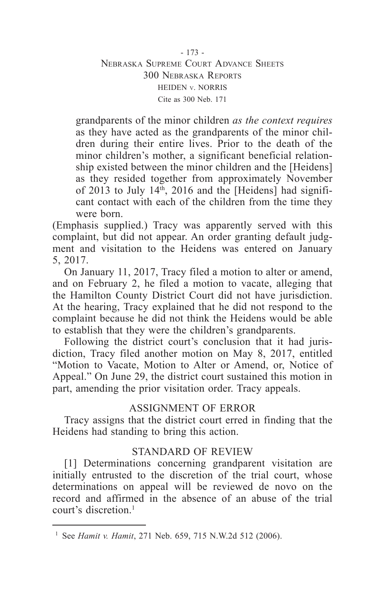- 173 - Nebraska Supreme Court Advance Sheets 300 Nebraska Reports HEIDEN v. NORRIS Cite as 300 Neb. 171

grandparents of the minor children *as the context requires* as they have acted as the grandparents of the minor children during their entire lives. Prior to the death of the minor children's mother, a significant beneficial relationship existed between the minor children and the [Heidens] as they resided together from approximately November of 2013 to July  $14<sup>th</sup>$ , 2016 and the [Heidens] had significant contact with each of the children from the time they were born.

(Emphasis supplied.) Tracy was apparently served with this complaint, but did not appear. An order granting default judgment and visitation to the Heidens was entered on January 5, 2017.

On January 11, 2017, Tracy filed a motion to alter or amend, and on February 2, he filed a motion to vacate, alleging that the Hamilton County District Court did not have jurisdiction. At the hearing, Tracy explained that he did not respond to the complaint because he did not think the Heidens would be able to establish that they were the children's grandparents.

Following the district court's conclusion that it had jurisdiction, Tracy filed another motion on May 8, 2017, entitled "Motion to Vacate, Motion to Alter or Amend, or, Notice of Appeal." On June 29, the district court sustained this motion in part, amending the prior visitation order. Tracy appeals.

# ASSIGNMENT OF ERROR

Tracy assigns that the district court erred in finding that the Heidens had standing to bring this action.

## STANDARD OF REVIEW

[1] Determinations concerning grandparent visitation are initially entrusted to the discretion of the trial court, whose determinations on appeal will be reviewed de novo on the record and affirmed in the absence of an abuse of the trial court's discretion $<sup>1</sup>$ </sup>

<sup>1</sup> See *Hamit v. Hamit*, 271 Neb. 659, 715 N.W.2d 512 (2006).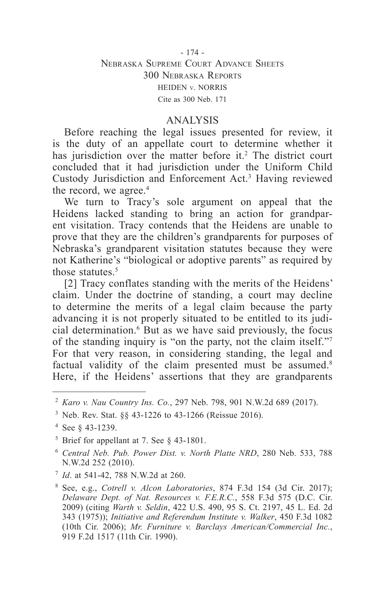## - 174 - Nebraska Supreme Court Advance Sheets 300 Nebraska Reports HEIDEN v. NORRIS Cite as 300 Neb. 171

# ANALYSIS

Before reaching the legal issues presented for review, it is the duty of an appellate court to determine whether it has jurisdiction over the matter before it.<sup>2</sup> The district court concluded that it had jurisdiction under the Uniform Child Custody Jurisdiction and Enforcement Act.3 Having reviewed the record, we agree.<sup>4</sup>

We turn to Tracy's sole argument on appeal that the Heidens lacked standing to bring an action for grandparent visitation. Tracy contends that the Heidens are unable to prove that they are the children's grandparents for purposes of Nebraska's grandparent visitation statutes because they were not Katherine's "biological or adoptive parents" as required by those statutes.<sup>5</sup>

[2] Tracy conflates standing with the merits of the Heidens' claim. Under the doctrine of standing, a court may decline to determine the merits of a legal claim because the party advancing it is not properly situated to be entitled to its judicial determination.<sup>6</sup> But as we have said previously, the focus of the standing inquiry is "on the party, not the claim itself."7 For that very reason, in considering standing, the legal and factual validity of the claim presented must be assumed.<sup>8</sup> Here, if the Heidens' assertions that they are grandparents

<sup>2</sup> *Karo v. Nau Country Ins. Co.*, 297 Neb. 798, 901 N.W.2d 689 (2017).

<sup>3</sup> Neb. Rev. Stat. §§ 43-1226 to 43-1266 (Reissue 2016).

<sup>4</sup> See § 43-1239.

<sup>5</sup> Brief for appellant at 7. See § 43-1801.

<sup>6</sup> *Central Neb. Pub. Power Dist. v. North Platte NRD*, 280 Neb. 533, 788 N.W.2d 252 (2010).

<sup>7</sup> *Id*. at 541-42, 788 N.W.2d at 260.

<sup>8</sup> See, e.g., *Cotrell v. Alcon Laboratories*, 874 F.3d 154 (3d Cir. 2017); *Delaware Dept. of Nat. Resources v. F.E.R.C.*, 558 F.3d 575 (D.C. Cir. 2009) (citing *Warth v. Seldin*, 422 U.S. 490, 95 S. Ct. 2197, 45 L. Ed. 2d 343 (1975)); *Initiative and Referendum Institute v. Walker*, 450 F.3d 1082 (10th Cir. 2006); *Mr. Furniture v. Barclays American/Commercial Inc.*, 919 F.2d 1517 (11th Cir. 1990).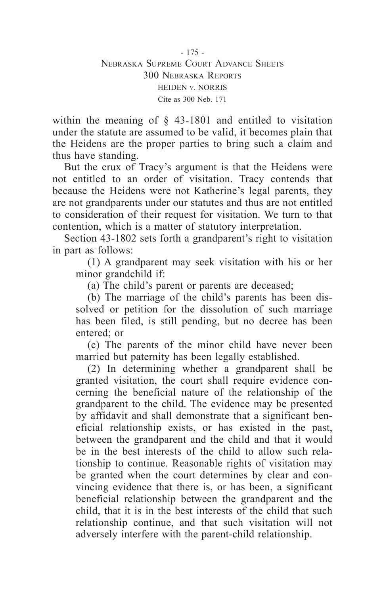- 175 - Nebraska Supreme Court Advance Sheets 300 Nebraska Reports HEIDEN v. NORRIS Cite as 300 Neb. 171

within the meaning of § 43-1801 and entitled to visitation under the statute are assumed to be valid, it becomes plain that the Heidens are the proper parties to bring such a claim and thus have standing.

But the crux of Tracy's argument is that the Heidens were not entitled to an order of visitation. Tracy contends that because the Heidens were not Katherine's legal parents, they are not grandparents under our statutes and thus are not entitled to consideration of their request for visitation. We turn to that contention, which is a matter of statutory interpretation.

Section 43-1802 sets forth a grandparent's right to visitation in part as follows:

(1) A grandparent may seek visitation with his or her minor grandchild if:

(a) The child's parent or parents are deceased;

(b) The marriage of the child's parents has been dissolved or petition for the dissolution of such marriage has been filed, is still pending, but no decree has been entered; or

(c) The parents of the minor child have never been married but paternity has been legally established.

(2) In determining whether a grandparent shall be granted visitation, the court shall require evidence concerning the beneficial nature of the relationship of the grandparent to the child. The evidence may be presented by affidavit and shall demonstrate that a significant beneficial relationship exists, or has existed in the past, between the grandparent and the child and that it would be in the best interests of the child to allow such relationship to continue. Reasonable rights of visitation may be granted when the court determines by clear and convincing evidence that there is, or has been, a significant beneficial relationship between the grandparent and the child, that it is in the best interests of the child that such relationship continue, and that such visitation will not adversely interfere with the parent-child relationship.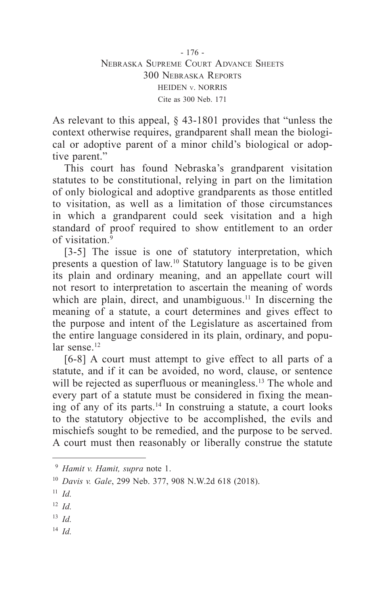- 176 - Nebraska Supreme Court Advance Sheets 300 Nebraska Reports HEIDEN v. NORRIS Cite as 300 Neb. 171

As relevant to this appeal, § 43-1801 provides that "unless the context otherwise requires, grandparent shall mean the biological or adoptive parent of a minor child's biological or adoptive parent."

This court has found Nebraska's grandparent visitation statutes to be constitutional, relying in part on the limitation of only biological and adoptive grandparents as those entitled to visitation, as well as a limitation of those circumstances in which a grandparent could seek visitation and a high standard of proof required to show entitlement to an order of visitation<sup>9</sup>

[3-5] The issue is one of statutory interpretation, which presents a question of law.10 Statutory language is to be given its plain and ordinary meaning, and an appellate court will not resort to interpretation to ascertain the meaning of words which are plain, direct, and unambiguous.<sup>11</sup> In discerning the meaning of a statute, a court determines and gives effect to the purpose and intent of the Legislature as ascertained from the entire language considered in its plain, ordinary, and popular sense<sup>12</sup>

[6-8] A court must attempt to give effect to all parts of a statute, and if it can be avoided, no word, clause, or sentence will be rejected as superfluous or meaningless.<sup>13</sup> The whole and every part of a statute must be considered in fixing the meaning of any of its parts.14 In construing a statute, a court looks to the statutory objective to be accomplished, the evils and mischiefs sought to be remedied, and the purpose to be served. A court must then reasonably or liberally construe the statute

<sup>14</sup> *Id.*

<sup>9</sup> *Hamit v. Hamit, supra* note 1.

<sup>10</sup> *Davis v. Gale*, 299 Neb. 377, 908 N.W.2d 618 (2018).

 $11$  *Id.* 

<sup>12</sup> *Id.*

<sup>13</sup> *Id.*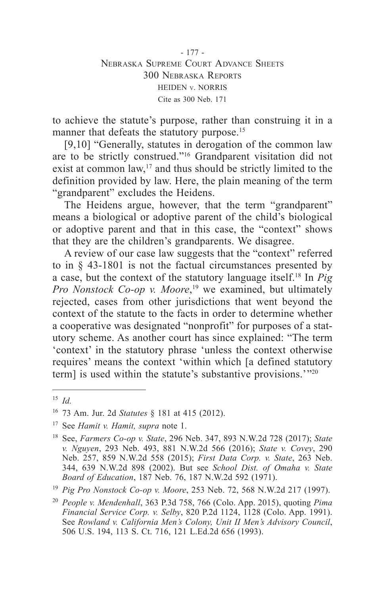- 177 - Nebraska Supreme Court Advance Sheets 300 Nebraska Reports HEIDEN v. NORRIS Cite as 300 Neb. 171

to achieve the statute's purpose, rather than construing it in a manner that defeats the statutory purpose.<sup>15</sup>

[9,10] "Generally, statutes in derogation of the common law are to be strictly construed."16 Grandparent visitation did not exist at common law,<sup>17</sup> and thus should be strictly limited to the definition provided by law. Here, the plain meaning of the term "grandparent" excludes the Heidens.

The Heidens argue, however, that the term "grandparent" means a biological or adoptive parent of the child's biological or adoptive parent and that in this case, the "context" shows that they are the children's grandparents. We disagree.

A review of our case law suggests that the "context" referred to in § 43-1801 is not the factual circumstances presented by a case, but the context of the statutory language itself.18 In *Pig Pro Nonstock Co-op v. Moore*, 19 we examined, but ultimately rejected, cases from other jurisdictions that went beyond the context of the statute to the facts in order to determine whether a cooperative was designated "nonprofit" for purposes of a statutory scheme. As another court has since explained: "The term 'context' in the statutory phrase 'unless the context otherwise requires' means the context 'within which [a defined statutory term] is used within the statute's substantive provisions.'"20

<sup>15</sup> *Id.*

<sup>16</sup> 73 Am. Jur. 2d *Statutes* § 181 at 415 (2012).

<sup>17</sup> See *Hamit v. Hamit, supra* note 1.

<sup>18</sup> See, *Farmers Co-op v. State*, 296 Neb. 347, 893 N.W.2d 728 (2017); *State v. Nguyen*, 293 Neb. 493, 881 N.W.2d 566 (2016); *State v. Covey*, 290 Neb. 257, 859 N.W.2d 558 (2015); *First Data Corp. v. State*, 263 Neb. 344, 639 N.W.2d 898 (2002). But see *School Dist. of Omaha v. State Board of Education*, 187 Neb. 76, 187 N.W.2d 592 (1971).

<sup>19</sup> *Pig Pro Nonstock Co-op v. Moore*, 253 Neb. 72, 568 N.W.2d 217 (1997).

<sup>20</sup> *People v. Mendenhall*, 363 P.3d 758, 766 (Colo. App. 2015), quoting *Pima Financial Service Corp. v. Selby*, 820 P.2d 1124, 1128 (Colo. App. 1991). See *Rowland v. California Men's Colony, Unit II Men's Advisory Council*, 506 U.S. 194, 113 S. Ct. 716, 121 L.Ed.2d 656 (1993).